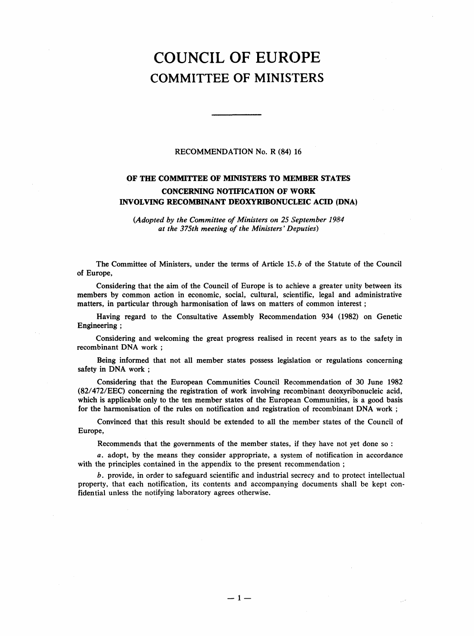# COUNCIL OF EUROPE COMMITTEE OF MINISTERS

## RECOMMENDATION No. R (84) 16

## OF THE COMMITTEE OF MINISTERS TO MEMBER STATES CONCERNING NOTIFICATION OF WORK INVOLVING RECOMBINANT DEOXYRIBONUCLEIC ACID (DNA)

(Adopted by the Committee of Ministers on 25 September 1984 at the 375th meeting of the Ministers' Deputies)

The Committee of Ministers, under the terms of Article 15. b of the Statute of the Council of Europe,

Considering that the aim of the Council of Europe is to achieve a greater unity between its members by common action in economic, social, cultural, scientific, legal and administrative matters, in particular through harmonisation of laws on matters of common interest;

Having regard to the Consultative Assembly Recommendation 934 (1982) on Genetic Engineering;

Considering and welcoming the great progress realised in recent years as to the safety in recombinant DNA work;

Being informed that not all member states possess legislation or regulations concerning safety in DNA work;

Considering that the European Communities Council Recommendation of 30 June 1982 (82/472/EEC) concerning the registration of work involving recombinant deoxyribonucleic acid, which is applicable only to the ten member states of the European Communities, is a good basis for the harmonisation of the rules on notification and registration of recombinant DNA work;

Convinced that this result should be extended to all the member states of the Council of Europe,

Recommends that the governments of the member states, if they have not yet done so:

a. adopt, by the means they consider appropriate, a system of notification in accordance with the principles contained in the appendix to the present recommendation;

b. provide, in order to safeguard scientific and industrial secrecy and to protect intellectual property, that each notification, its contents and accompanying documents shall be kept confidential unless the notifying laboratory agrees otherwise.

 $\mathcal{L}^{\text{max}}_{\text{max}}$  and  $\mathcal{L}^{\text{max}}_{\text{max}}$